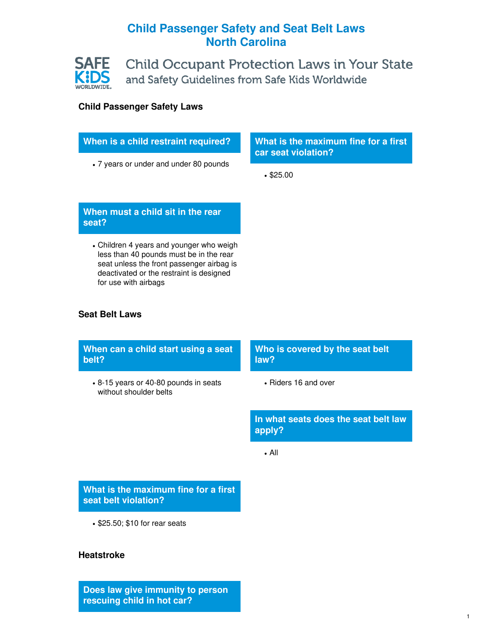# **Child Passenger Safety and Seat Belt Laws North Carolina**



**Child Occupant Protection Laws in Your State** and Safety Guidelines from Safe Kids Worldwide

## **Child Passenger Safety Laws**

| When is a child restraint required? |  |
|-------------------------------------|--|
|-------------------------------------|--|

7 years or under and under 80 pounds

**What is the maximum fine for a first car seat violation?**

• \$25.00

## **When must a child sit in the rear seat?**

Children 4 years and younger who weigh less than 40 pounds must be in the rear seat unless the front passenger airbag is deactivated or the restraint is designed for use with airbags

### **Seat Belt Laws**

**When can a child start using a seat belt?**

8-15 years or 40-80 pounds in seats without shoulder belts

## **Who is covered by the seat belt law?**

• Riders 16 and over

**In what seats does the seat belt law apply?**

All

## **What is the maximum fine for a first seat belt violation?**

• \$25.50; \$10 for rear seats

### **Heatstroke**

**Does law give immunity to person rescuing child in hot car?**